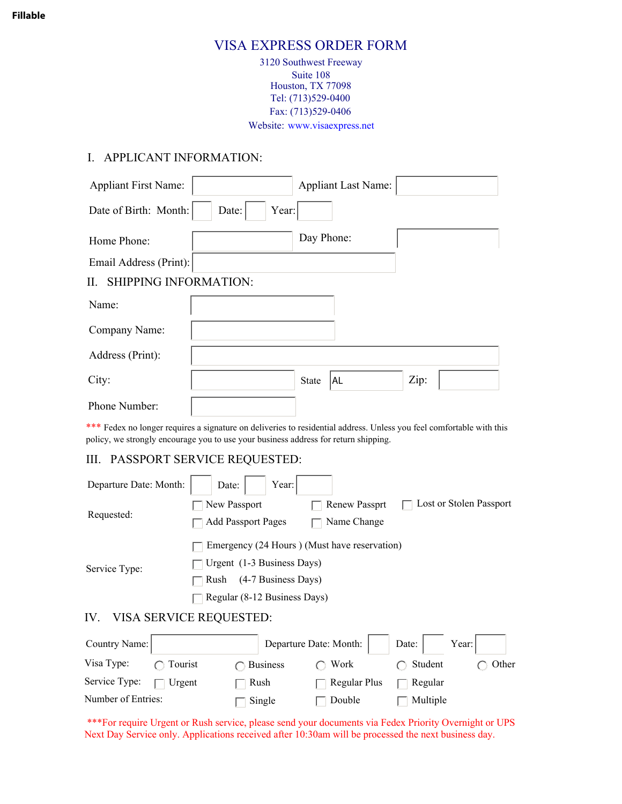#### **Fillable**

# VISA EXPRESS ORDER FORM

3120 Southwest Freeway Suite 108 Houston, TX 77098 Tel: (713)529-0400 Fax: (713)529-0406 Website: www.visaexpress.net

## I. APPLICANT INFORMATION:

| <b>Appliant First Name:</b>                                                         |                | <b>Appliant Last Name:</b> |                                                                                                                      |
|-------------------------------------------------------------------------------------|----------------|----------------------------|----------------------------------------------------------------------------------------------------------------------|
| Date of Birth: Month:                                                               | Year:<br>Date: |                            |                                                                                                                      |
| Home Phone:                                                                         |                | Day Phone:                 |                                                                                                                      |
| Email Address (Print):                                                              |                |                            |                                                                                                                      |
| <b>SHIPPING INFORMATION:</b><br>$\mathbf{H}$                                        |                |                            |                                                                                                                      |
| Name:                                                                               |                |                            |                                                                                                                      |
| Company Name:                                                                       |                |                            |                                                                                                                      |
| Address (Print):                                                                    |                |                            |                                                                                                                      |
| City:                                                                               |                | AL<br><b>State</b>         | Zip:                                                                                                                 |
| Phone Number:                                                                       |                |                            |                                                                                                                      |
| policy, we strongly encourage you to use your business address for return shipping. |                |                            | *** Fedex no longer requires a signature on deliveries to residential address. Unless you feel comfortable with this |

## III. PASSPORT SERVICE REQUESTED:

| Departure Date: Month: | Year: $\vert$<br>Date:                       |                      |                         |  |  |
|------------------------|----------------------------------------------|----------------------|-------------------------|--|--|
| Requested:             | New Passport                                 | <b>Renew Passprt</b> | Lost or Stolen Passport |  |  |
|                        | <b>Add Passport Pages</b>                    | Name Change          |                         |  |  |
| Service Type:          | Emergency (24 Hours) (Must have reservation) |                      |                         |  |  |
|                        | Urgent (1-3 Business Days)                   |                      |                         |  |  |
|                        | (4-7 Business Days)<br>Rush                  |                      |                         |  |  |
|                        | Regular (8-12 Business Days)                 |                      |                         |  |  |
| IV.                    | VISA SERVICE REQUESTED:                      |                      |                         |  |  |
|                        |                                              |                      |                         |  |  |

| Country Name:      |                   |                    | Departure Date: Month: | Date: Year:       |       |
|--------------------|-------------------|--------------------|------------------------|-------------------|-------|
| Visa Type:         | $\bigcap$ Tourist | $\bigcap$ Business | $\bigcap$ Work         | $\bigcap$ Student | Other |
| Service Type:      | $\Box$ Urgent     | Rush               | $\Box$ Regular Plus    | Regular           |       |
| Number of Entries: |                   | Single             | Double                 | Multiple          |       |

\*\*\*For require Urgent or Rush service, please send your documents via Fedex Priority Overnight or UPS Next Day Service only. Applications received after 10:30am will be processed the next business day.